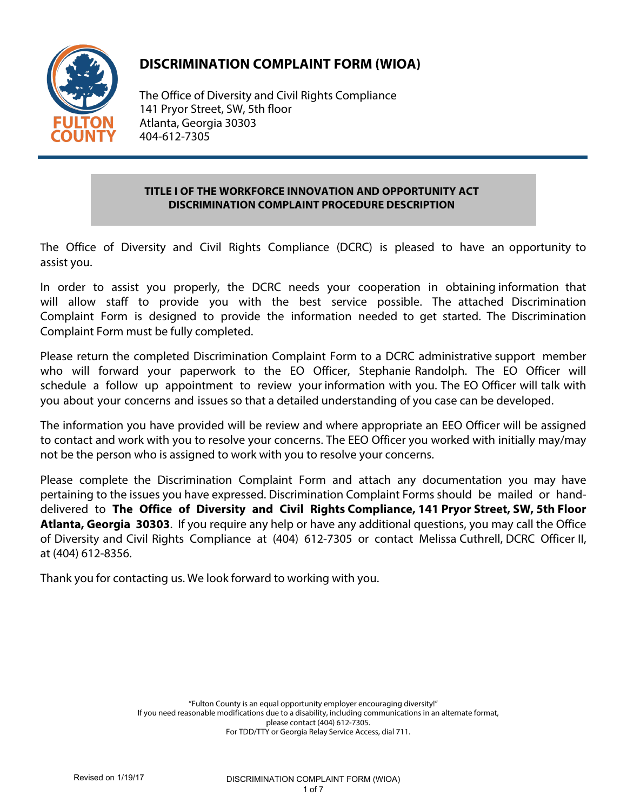

# **DISCRIMINATION COMPLAINT FORM (WIOA)**

The Office of Diversity and Civil Rights Compliance 141 Pryor Street, SW, 5th floor Atlanta, Georgia 30303 404-612-7305

# **TITLE I OF THE WORKFORCE INNOVATION AND OPPORTUNITY ACT DISCRIMINATION COMPLAINT PROCEDURE DESCRIPTION**

The Office of Diversity and Civil Rights Compliance (DCRC) is pleased to have an opportunity to assist you.

In order to assist you properly, the DCRC needs your cooperation in obtaining information that will allow staff to provide you with the best service possible. The attached Discrimination Complaint Form is designed to provide the information needed to get started. The Discrimination Complaint Form must be fully completed.

Please return the completed Discrimination Complaint Form to a DCRC administrative support member who will forward your paperwork to the EO Officer, Stephanie Randolph. The EO Officer will schedule a follow up appointment to review your information with you. The EO Officer will talk with you about your concerns and issues so that a detailed understanding of you case can be developed.

The information you have provided will be review and where appropriate an EEO Officer will be assigned to contact and work with you to resolve your concerns. The EEO Officer you worked with initially may/may not be the person who is assigned to work with you to resolve your concerns.

Please complete the Discrimination Complaint Form and attach any documentation you may have pertaining to the issues you have expressed. Discrimination Complaint Forms should be mailed or handdelivered to **The Office of Diversity and Civil Rights Compliance, 141 Pryor Street, SW, 5th Floor Atlanta, Georgia 30303**. If you require any help or have any additional questions, you may call the Office of Diversity and Civil Rights Compliance at (404) 612-7305 or contact Melissa Cuthrell, DCRC Officer II, at (404) 612-8356.

Thank you for contacting us. We look forward to working with you.

"Fulton County is an equal opportunity employer encouraging diversity!" If you need reasonable modifications due to a disability, including communications in an alternate format, please contact (404) 612-7305. For TDD/TTY or Georgia Relay Service Access, dial 711.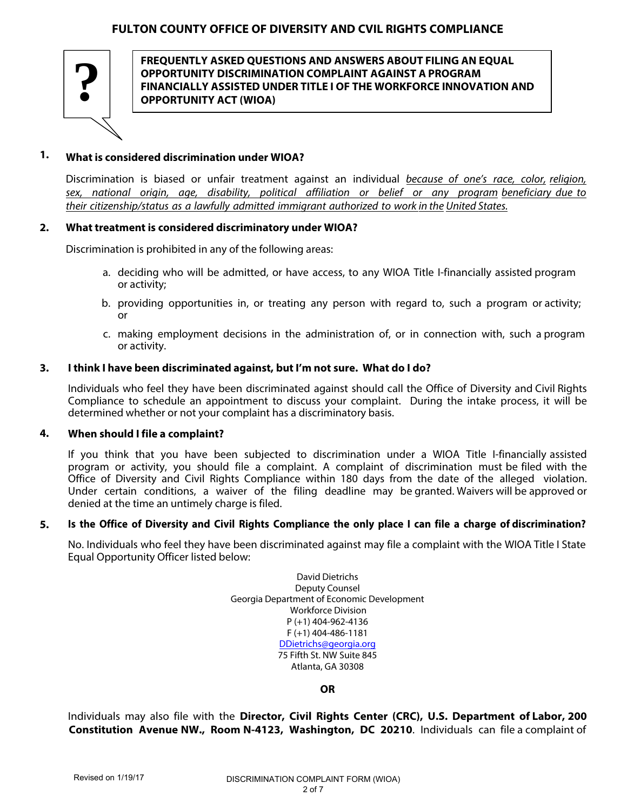

**FREQUENTLY ASKED QUESTIONS AND ANSWERS ABOUT FILING AN EQUAL OPPORTUNITY DISCRIMINATION COMPLAINT AGAINST A PROGRAM FINANCIALLY ASSISTED UNDER TITLE I OF THE WORKFORCE INNOVATION AND ? OPPORTUNITY ACT (WIOA)** 

## **What is considered discrimination under WIOA? 1.**

Discrimination is biased or unfair treatment against an individual because of one's race, color, religion, sex, national origin, age, disability, political affiliation or belief or any program beneficiary due to their citizenship/status as a lawfully admitted immigrant authorized to work in the United States.

### **What treatment is considered discriminatory under WIOA? 2.**

Discrimination is prohibited in any of the following areas:

- a. deciding who will be admitted, or have access, to any WIOA Title I-financially assisted program or activity;
- b. providing opportunities in, or treating any person with regard to, such a program or activity; or
- c. making employment decisions in the administration of, or in connection with, such a program or activity.

### **I think I have been discriminated against, but I'm not sure. What do I do? 3.**

Individuals who feel they have been discriminated against should call the Office of Diversity and Civil Rights Compliance to schedule an appointment to discuss your complaint. During the intake process, it will be determined whether or not your complaint has a discriminatory basis.

### **When should I file a complaint? 4.**

If you think that you have been subjected to discrimination under a WIOA Title I-financially assisted program or activity, you should file a complaint. A complaint of discrimination must be filed with the Office of Diversity and Civil Rights Compliance within 180 days from the date of the alleged violation. Under certain conditions, a waiver of the filing deadline may be granted. Waivers will be approved or denied at the time an untimely charge is filed.

### **Is the Office of Diversity and Civil Rights Compliance the only place I can file a charge of discrimination? 5.**

No. Individuals who feel they have been discriminated against may file a complaint with the WIOA Title I State Equal Opportunity Officer listed below:

> David Dietrichs Deputy Counsel Georgia Department of Economic Development Workforce Division P (+1) 404-962-4136 F (+1) 404-486-1181 DDietrichs@georgia.org 75 Fifth St. NW Suite 845 Atlanta, GA 30308

> > **OR**

Individuals may also file with the **Director, Civil Rights Center (CRC), U.S. Department of Labor, 200 Constitution Avenue NW., Room N-4123, Washington, DC 20210**. Individuals can file a complaint of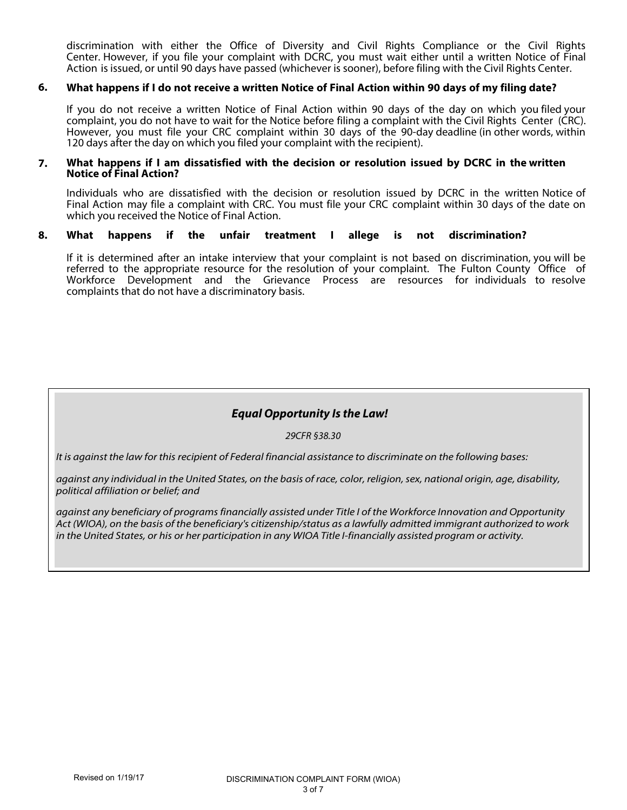discrimination with either the Office of Diversity and Civil Rights Compliance or the Civil Rights Center. However, if you file your complaint with DCRC, you must wait either until a written Notice of Final Action is issued, or until 90 days have passed (whichever is sooner), before filing with the Civil Rights Center.

### **What happens if I do not receive a written Notice of Final Action within 90 days of my filing date? 6.**

If you do not receive a written Notice of Final Action within 90 days of the day on which you filed your complaint, you do not have to wait for the Notice before filing a complaint with the Civil Rights Center (CRC). However, you must file your CRC complaint within 30 days of the 90-day deadline (in other words, within 120 days after the day on which you filed your complaint with the recipient).

## **What happens if I am dissatisfied with the decision or resolution issued by DCRC in the written Notice of Final Action? 7.**

Individuals who are dissatisfied with the decision or resolution issued by DCRC in the written Notice of Final Action may file a complaint with CRC. You must file your CRC complaint within 30 days of the date on which you received the Notice of Final Action.

### **What happens if the unfair treatment I allege is not discrimination? 8.**

If it is determined after an intake interview that your complaint is not based on discrimination, you will be referred to the appropriate resource for the resolution of your complaint. The Fulton County Office of Workforce Development and the Grievance Process are resources for individuals to resolve complaints that do not have a discriminatory basis.

# **Equal Opportunity Is the Law!**

29CFR §38.30

It is against the law for this recipient of Federal financial assistance to discriminate on the following bases:

against any individual in the United States, on the basis of race, color, religion, sex, national origin, age, disability, political affiliation or belief; and

against any beneficiary of programs financially assisted under Title I of the Workforce Innovation and Opportunity Act (WIOA), on the basis of the beneficiary's citizenship/status as a lawfully admitted immigrant authorized to work in the United States, or his or her participation in any WIOA Title I-financially assisted program or activity.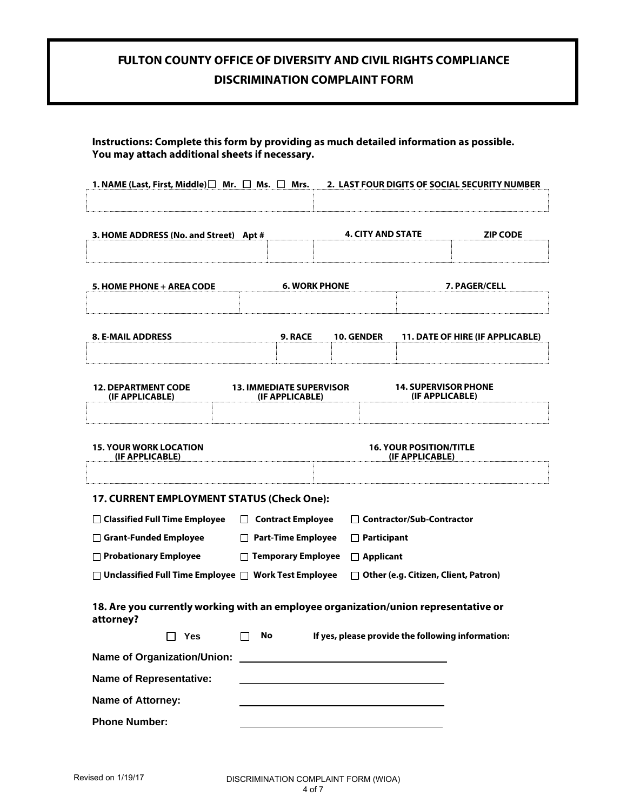# **FULTON COUNTY OFFICE OF DIVERSITY AND CIVIL RIGHTS COMPLIANCE DISCRIMINATION COMPLAINT FORM**

| 1. NAME (Last, First, Middle) $\Box$ Mr. $\Box$ Ms. $\Box$ Mrs.                                  |                                                    |                      |                          |                                                   | 2. LAST FOUR DIGITS OF SOCIAL SECURITY NUMBER     |
|--------------------------------------------------------------------------------------------------|----------------------------------------------------|----------------------|--------------------------|---------------------------------------------------|---------------------------------------------------|
| 3. HOME ADDRESS (No. and Street) Apt #                                                           |                                                    |                      | <b>4. CITY AND STATE</b> |                                                   | <b>ZIP CODE</b>                                   |
| 5. HOME PHONE + AREA CODE                                                                        |                                                    | <b>6. WORK PHONE</b> |                          |                                                   | 7. PAGER/CELL                                     |
| <b>8. E-MAIL ADDRESS</b>                                                                         | <b>9. RACE</b>                                     |                      | 10. GENDER               |                                                   | <b>11. DATE OF HIRE (IF APPLICABLE)</b>           |
| <b>12. DEPARTMENT CODE</b><br>(IF APPLICABLE)                                                    | <b>13. IMMEDIATE SUPERVISOR</b><br>(IF APPLICABLE) |                      |                          | <b>14. SUPERVISOR PHONE</b><br>(IF APPLICABLE)    |                                                   |
| <b>15. YOUR WORK LOCATION</b><br>(IF APPLICABLE)                                                 |                                                    |                      |                          | <b>16. YOUR POSITION/TITLE</b><br>(IF APPLICABLE) |                                                   |
| 17. CURRENT EMPLOYMENT STATUS (Check One):                                                       |                                                    |                      |                          |                                                   |                                                   |
| □ Classified Full Time Employee                                                                  | □ Contract Employee                                |                      |                          | □ Contractor/Sub-Contractor                       |                                                   |
| Grant-Funded Employee                                                                            | □ Part-Time Employee                               |                      | $\Box$ Participant       |                                                   |                                                   |
| □ Probationary Employee                                                                          | □ Temporary Employee                               |                      | $\Box$ Applicant         |                                                   |                                                   |
| $\Box$ Unclassified Full Time Employee $\Box$ Work Test Employee                                 |                                                    |                      |                          | $\Box$ Other (e.g. Citizen, Client, Patron)       |                                                   |
| 18. Are you currently working with an employee organization/union representative or<br>attorney? |                                                    |                      |                          |                                                   |                                                   |
| П<br><b>Yes</b>                                                                                  | No                                                 |                      |                          |                                                   | If yes, please provide the following information: |
| <b>Name of Organization/Union:</b>                                                               |                                                    |                      |                          |                                                   |                                                   |
| <b>Name of Representative:</b>                                                                   |                                                    |                      |                          |                                                   |                                                   |
| Name of Attorney:                                                                                |                                                    |                      |                          |                                                   |                                                   |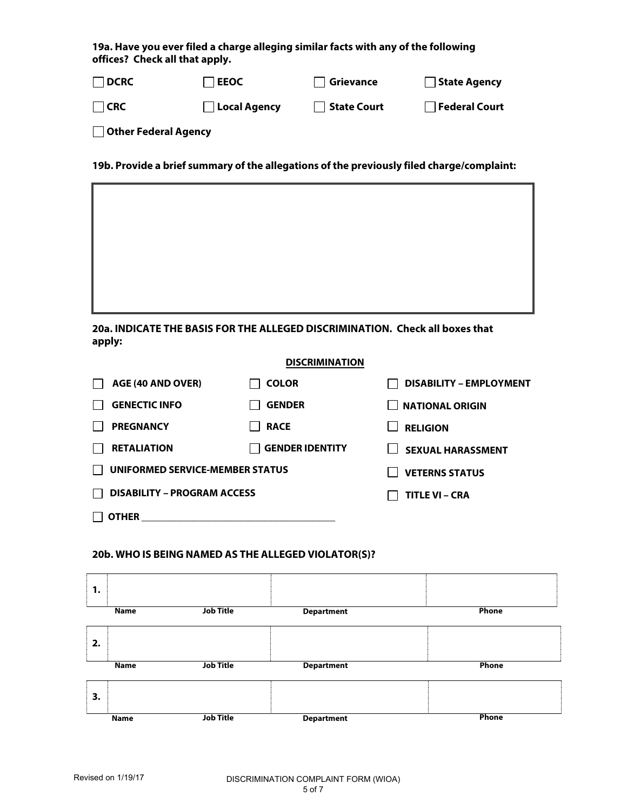**19a. Have you ever filed a charge alleging similar facts with any of the following offices? Check all that apply.** 

| $\Box$ DCRC          | <b>LEEOC</b>        | Grievance   | State Agency  |
|----------------------|---------------------|-------------|---------------|
| <b>I</b> ICRC        | $\Box$ Local Agency | State Court | Federal Court |
| Other Federal Agency |                     |             |               |

**19b. Provide a brief summary of the allegations of the previously filed charge/complaint:** 



**20a. INDICATE THE BASIS FOR THE ALLEGED DISCRIMINATION. Check all boxes that apply:** 

# **DISCRIMINATION**

| AGE (40 AND OVER)                  | <b>COLOR</b>           | <b>DISABILITY - EMPLOYMENT</b> |
|------------------------------------|------------------------|--------------------------------|
| <b>GENECTIC INFO</b>               | <b>GENDER</b>          | <b>NATIONAL ORIGIN</b>         |
| <b>PREGNANCY</b>                   | <b>RACE</b>            | <b>RELIGION</b>                |
| <b>RETALIATION</b>                 | <b>GENDER IDENTITY</b> | <b>SEXUAL HARASSMENT</b>       |
| UNIFORMED SERVICE-MEMBER STATUS    |                        | <b>VETERNS STATUS</b>          |
| <b>DISABILITY - PROGRAM ACCESS</b> |                        | <b>TITLE VI - CRA</b>          |
| OTHER                              |                        |                                |

# **20b. WHO IS BEING NAMED AS THE ALLEGED VIOLATOR(S)?**

| 1.          |                  |                   |              |
|-------------|------------------|-------------------|--------------|
| <b>Name</b> | <b>Job Title</b> | <b>Department</b> | Phone        |
| 2.          |                  |                   |              |
| <b>Name</b> | <b>Job Title</b> | <b>Department</b> | Phone        |
|             |                  |                   |              |
| 3.          |                  |                   |              |
| <b>Name</b> | <b>Job Title</b> | <b>Department</b> | <b>Phone</b> |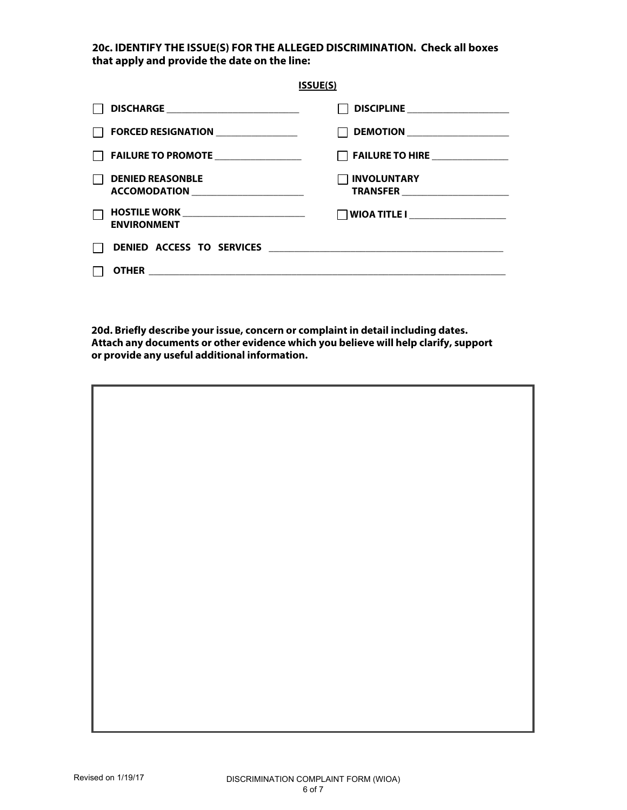**20c. IDENTIFY THE ISSUE(S) FOR THE ALLEGED DISCRIMINATION. Check all boxes that apply and provide the date on the line:** 

|                                                                      | <b>ISSUE(S)</b>                 |
|----------------------------------------------------------------------|---------------------------------|
| DISCHARGE ________________________________                           | DISCIPLINE ___________________  |
| FORCED RESIGNATION <b>FORCED</b>                                     | DEMOTION ______________________ |
| FAILURE TO PROMOTE ________________                                  | FAILURE TO HIRE ______________  |
| <b>DENIED REASONBLE</b>                                              | <b>INVOLUNTARY</b>              |
| <b>HOSTILE WORK</b> __________________________<br><b>ENVIRONMENT</b> |                                 |
|                                                                      |                                 |
|                                                                      |                                 |

**20d. Briefly describe your issue, concern or complaint in detail including dates. Attach any documents or other evidence which you believe will help clarify, support or provide any useful additional information.**